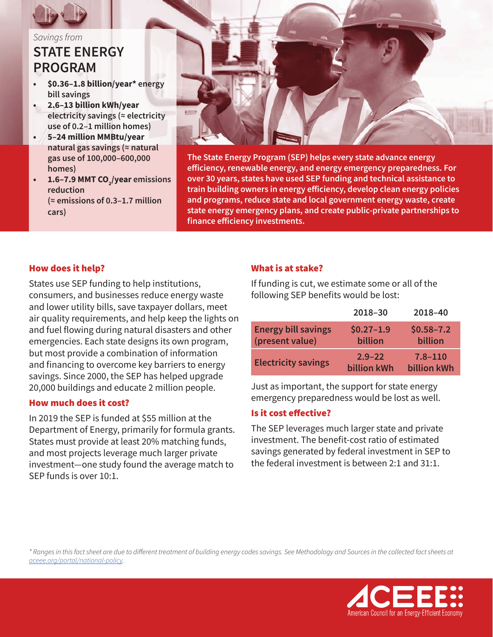

### *Savings from* **STATE ENERGY PROGRAM**

- **• \$0.36–1.8 billion/year\* energy bill savings**
- **• 2.6–13 billion kWh/year electricity savings (≈ electricity use of 0.2–1 million homes)**
- **• 5–24 million MMBtu/year natural gas savings (≈ natural gas use of 100,000–600,000 homes)**
- **• 1.6–7.9 MMT CO<sub>2</sub>/year** emissions **reduction (≈ emissions of 0.3–1.7 million cars)**



**The State Energy Program (SEP) helps every state advance energy efficiency, renewable energy, and energy emergency preparedness. For over 30 years, states have used SEP funding and technical assistance to train building owners in energy efficiency, develop clean energy policies and programs, reduce state and local government energy waste, create state energy emergency plans, and create public-private partnerships to finance efficiency investments.**

### How does it help?

States use SEP funding to help institutions, consumers, and businesses reduce energy waste and lower utility bills, save taxpayer dollars, meet air quality requirements, and help keep the lights on and fuel flowing during natural disasters and other emergencies. Each state designs its own program, but most provide a combination of information and financing to overcome key barriers to energy savings. Since 2000, the SEP has helped upgrade 20,000 buildings and educate 2 million people.

#### How much does it cost?

In 2019 the SEP is funded at \$55 million at the Department of Energy, primarily for formula grants. States must provide at least 20% matching funds, and most projects leverage much larger private investment—one study found the average match to SEP funds is over 10:1.

#### What is at stake?

If funding is cut, we estimate some or all of the following SEP benefits would be lost:

|                                               | 2018-30                          | 2018-40                           |
|-----------------------------------------------|----------------------------------|-----------------------------------|
| <b>Energy bill savings</b><br>(present value) | $$0.27 - 1.9$<br>billion         | $$0.58 - 7.2$<br>billion          |
| <b>Electricity savings</b>                    | $2.9 - 22$<br><b>billion kWh</b> | $7.8 - 110$<br><b>billion kWh</b> |

Just as important, the support for state energy emergency preparedness would be lost as well.

#### Is it cost effective?

The SEP leverages much larger state and private investment. The benefit-cost ratio of estimated savings generated by federal investment in SEP to the federal investment is between 2:1 and 31:1.

*\* Ranges in this fact sheet are due to different treatment of building energy codes savings. See Methodology and Sources in the collected fact sheets at aceee.org/portal/national-policy.*